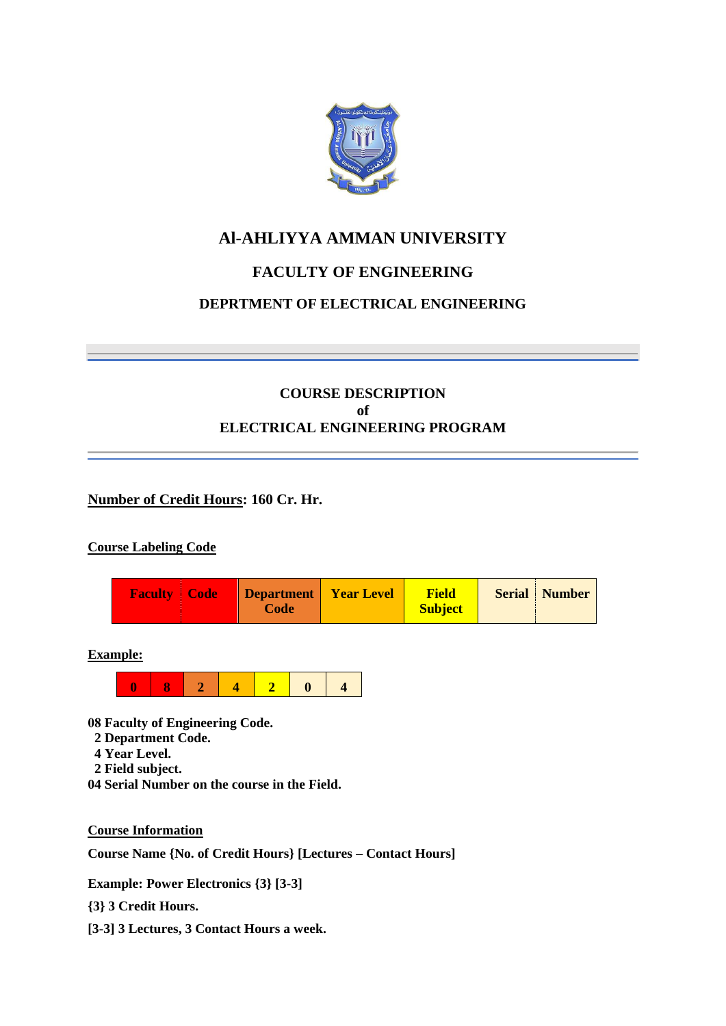

# **Al-AHLIYYA AMMAN UNIVERSITY**

# **FACULTY OF ENGINEERING**

## **DEPRTMENT OF ELECTRICAL ENGINEERING**

## **COURSE DESCRIPTION of ELECTRICAL ENGINEERING PROGRAM**

## **Number of Credit Hours: 160 Cr. Hr.**

## **Course Labeling Code**



**Example:**



**08 Faculty of Engineering Code.**

- **2 Department Code.**
- **4 Year Level.**
- **2 Field subject.**
- **04 Serial Number on the course in the Field.**

**Course Information**

**Course Name {No. of Credit Hours} [Lectures – Contact Hours]**

**Example: Power Electronics {3} [3-3]**

**{3} 3 Credit Hours.**

**[3-3] 3 Lectures, 3 Contact Hours a week.**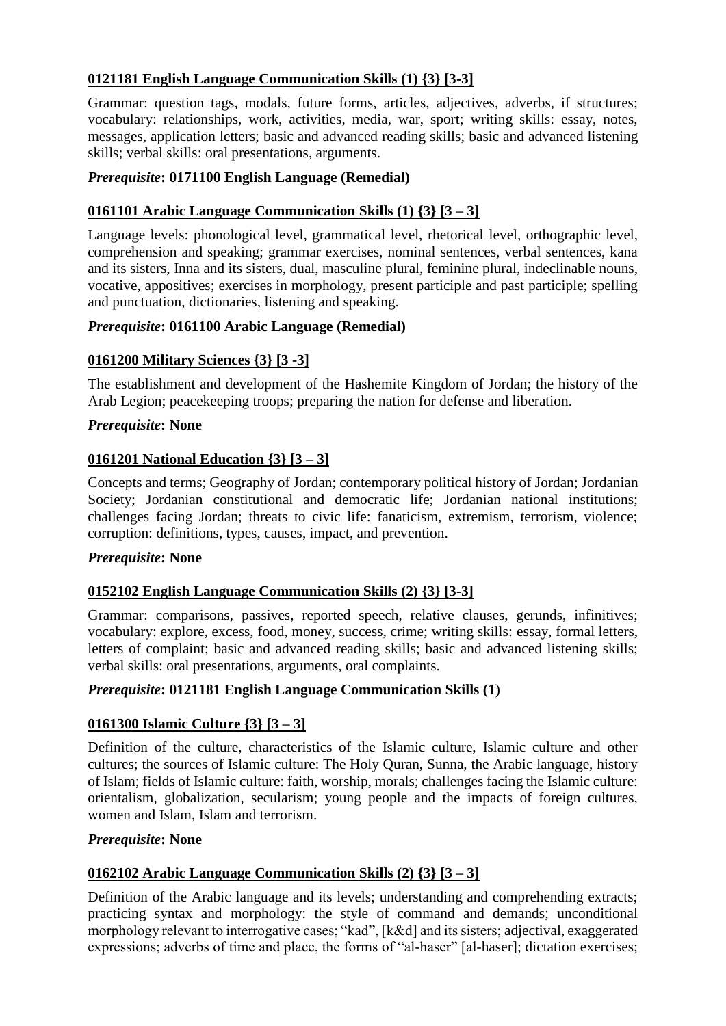## **0121181 English Language Communication Skills (1) {3} [3-3]**

Grammar: question tags, modals, future forms, articles, adjectives, adverbs, if structures; vocabulary: relationships, work, activities, media, war, sport; writing skills: essay, notes, messages, application letters; basic and advanced reading skills; basic and advanced listening skills; verbal skills: oral presentations, arguments.

## *Prerequisite***: 0171100 English Language (Remedial)**

## **0161101 Arabic Language Communication Skills (1) {3} [3 – 3]**

Language levels: phonological level, grammatical level, rhetorical level, orthographic level, comprehension and speaking; grammar exercises, nominal sentences, verbal sentences, kana and its sisters, Inna and its sisters, dual, masculine plural, feminine plural, indeclinable nouns, vocative, appositives; exercises in morphology, present participle and past participle; spelling and punctuation, dictionaries, listening and speaking.

## *Prerequisite***: 0161100 Arabic Language (Remedial)**

## **0161200 Military Sciences {3} [3 -3]**

The establishment and development of the Hashemite Kingdom of Jordan; the history of the Arab Legion; peacekeeping troops; preparing the nation for defense and liberation.

## *Prerequisite***: None**

## **0161201 National Education {3} [3 – 3]**

Concepts and terms; Geography of Jordan; contemporary political history of Jordan; Jordanian Society; Jordanian constitutional and democratic life; Jordanian national institutions; challenges facing Jordan; threats to civic life: fanaticism, extremism, terrorism, violence; corruption: definitions, types, causes, impact, and prevention.

#### *Prerequisite***: None**

## **0152102 English Language Communication Skills (2) {3} [3-3]**

Grammar: comparisons, passives, reported speech, relative clauses, gerunds, infinitives; vocabulary: explore, excess, food, money, success, crime; writing skills: essay, formal letters, letters of complaint; basic and advanced reading skills; basic and advanced listening skills; verbal skills: oral presentations, arguments, oral complaints.

## *Prerequisite***: 0121181 English Language Communication Skills (1**)

## **0161300 Islamic Culture {3} [3 – 3]**

Definition of the culture, characteristics of the Islamic culture, Islamic culture and other cultures; the sources of Islamic culture: The Holy Quran, Sunna, the Arabic language, history of Islam; fields of Islamic culture: faith, worship, morals; challenges facing the Islamic culture: orientalism, globalization, secularism; young people and the impacts of foreign cultures, women and Islam, Islam and terrorism.

## *Prerequisite***: None**

## **0162102 Arabic Language Communication Skills (2) {3} [3 – 3]**

Definition of the Arabic language and its levels; understanding and comprehending extracts; practicing syntax and morphology: the style of command and demands; unconditional morphology relevant to interrogative cases; "kad", [k&d] and its sisters; adjectival, exaggerated expressions; adverbs of time and place, the forms of "al-haser" [al-haser]; dictation exercises;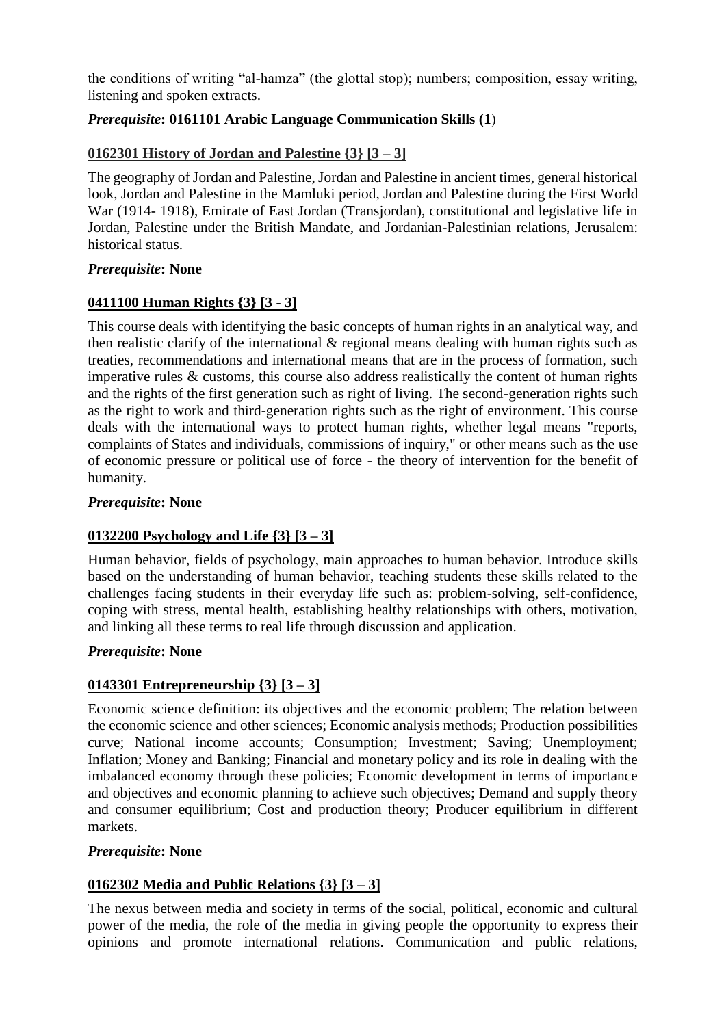the conditions of writing "al-hamza" (the glottal stop); numbers; composition, essay writing, listening and spoken extracts.

## *Prerequisite*: **0161101 Arabic Language Communication Skills (1)**

## **0162301 History of Jordan and Palestine {3} [3 – 3]**

The geography of Jordan and Palestine, Jordan and Palestine in ancient times, general historical look, Jordan and Palestine in the Mamluki period, Jordan and Palestine during the First World War (1914- 1918), Emirate of East Jordan (Transjordan), constitutional and legislative life in Jordan, Palestine under the British Mandate, and Jordanian-Palestinian relations, Jerusalem: historical status.

### *Prerequisite***: None**

## **0411100 Human Rights {3} [3 - 3]**

This course deals with identifying the basic concepts of human rights in an analytical way, and then realistic clarify of the international & regional means dealing with human rights such as treaties, recommendations and international means that are in the process of formation, such imperative rules & customs, this course also address realistically the content of human rights and the rights of the first generation such as right of living. The second-generation rights such as the right to work and third-generation rights such as the right of environment. This course deals with the international ways to protect human rights, whether legal means "reports, complaints of States and individuals, commissions of inquiry," or other means such as the use of economic pressure or political use of force - the theory of intervention for the benefit of humanity.

## *Prerequisite***: None**

## **0132200 Psychology and Life {3} [3 – 3]**

Human behavior, fields of psychology, main approaches to human behavior. Introduce skills based on the understanding of human behavior, teaching students these skills related to the challenges facing students in their everyday life such as: problem-solving, self-confidence, coping with stress, mental health, establishing healthy relationships with others, motivation, and linking all these terms to real life through discussion and application.

## *Prerequisite***: None**

## **0143301 Entrepreneurship {3} [3 – 3]**

Economic science definition: its objectives and the economic problem; The relation between the economic science and other sciences; Economic analysis methods; Production possibilities curve; National income accounts; Consumption; Investment; Saving; Unemployment; Inflation; Money and Banking; Financial and monetary policy and its role in dealing with the imbalanced economy through these policies; Economic development in terms of importance and objectives and economic planning to achieve such objectives; Demand and supply theory and consumer equilibrium; Cost and production theory; Producer equilibrium in different markets.

## *Prerequisite***: None**

## **0162302 Media and Public Relations {3} [3 – 3]**

The nexus between media and society in terms of the social, political, economic and cultural power of the media, the role of the media in giving people the opportunity to express their opinions and promote international relations. Communication and public relations,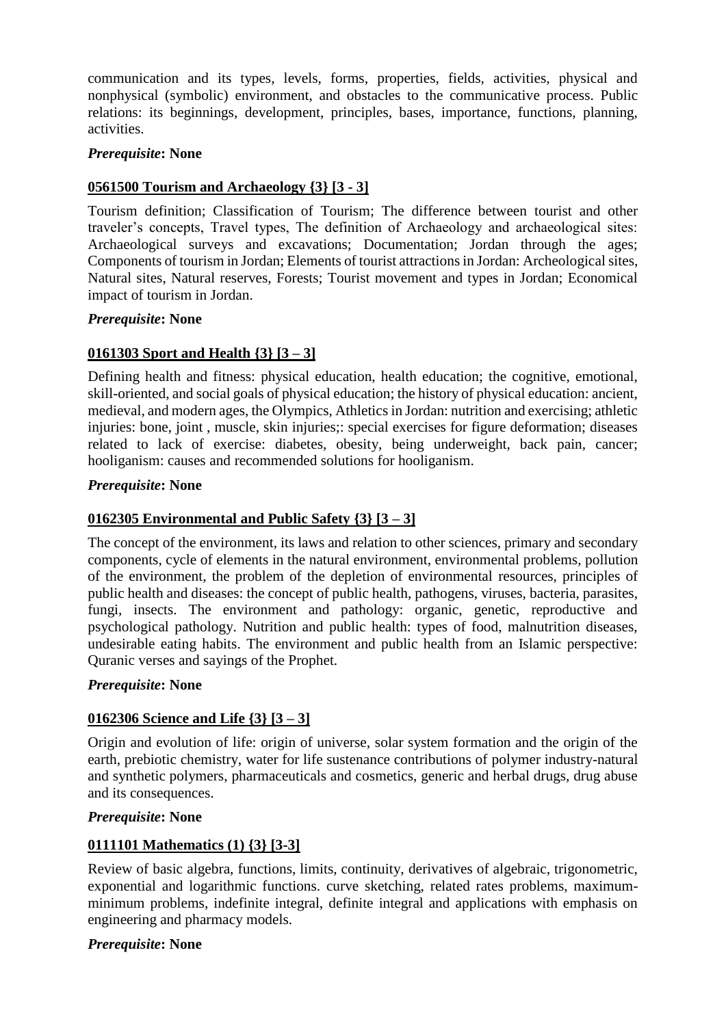communication and its types, levels, forms, properties, fields, activities, physical and nonphysical (symbolic) environment, and obstacles to the communicative process. Public relations: its beginnings, development, principles, bases, importance, functions, planning, activities.

## *Prerequisite***: None**

## **0561500 Tourism and Archaeology {3} [3 - 3]**

Tourism definition; Classification of Tourism; The difference between tourist and other traveler's concepts, Travel types, The definition of Archaeology and archaeological sites: Archaeological surveys and excavations; Documentation; Jordan through the ages; Components of tourism in Jordan; Elements of tourist attractions in Jordan: Archeological sites, Natural sites, Natural reserves, Forests; Tourist movement and types in Jordan; Economical impact of tourism in Jordan.

### *Prerequisite***: None**

## **0161303 Sport and Health {3} [3 – 3]**

Defining health and fitness: physical education, health education; the cognitive, emotional, skill-oriented, and social goals of physical education; the history of physical education: ancient, medieval, and modern ages, the Olympics, Athletics in Jordan: nutrition and exercising; athletic injuries: bone, joint , muscle, skin injuries;: special exercises for figure deformation; diseases related to lack of exercise: diabetes, obesity, being underweight, back pain, cancer; hooliganism: causes and recommended solutions for hooliganism.

### *Prerequisite***: None**

## **0162305 Environmental and Public Safety {3} [3 – 3]**

The concept of the environment, its laws and relation to other sciences, primary and secondary components, cycle of elements in the natural environment, environmental problems, pollution of the environment, the problem of the depletion of environmental resources, principles of public health and diseases: the concept of public health, pathogens, viruses, bacteria, parasites, fungi, insects. The environment and pathology: organic, genetic, reproductive and psychological pathology. Nutrition and public health: types of food, malnutrition diseases, undesirable eating habits. The environment and public health from an Islamic perspective: Quranic verses and sayings of the Prophet.

#### *Prerequisite***: None**

## **0162306 Science and Life {3} [3 – 3]**

Origin and evolution of life: origin of universe, solar system formation and the origin of the earth, prebiotic chemistry, water for life sustenance contributions of polymer industry-natural and synthetic polymers, pharmaceuticals and cosmetics, generic and herbal drugs, drug abuse and its consequences.

#### *Prerequisite***: None**

## **0111101 Mathematics (1) {3} [3-3]**

Review of basic algebra, functions, limits, continuity, derivatives of algebraic, trigonometric, exponential and logarithmic functions. curve sketching, related rates problems, maximumminimum problems, indefinite integral, definite integral and applications with emphasis on engineering and pharmacy models.

#### *Prerequisite***: None**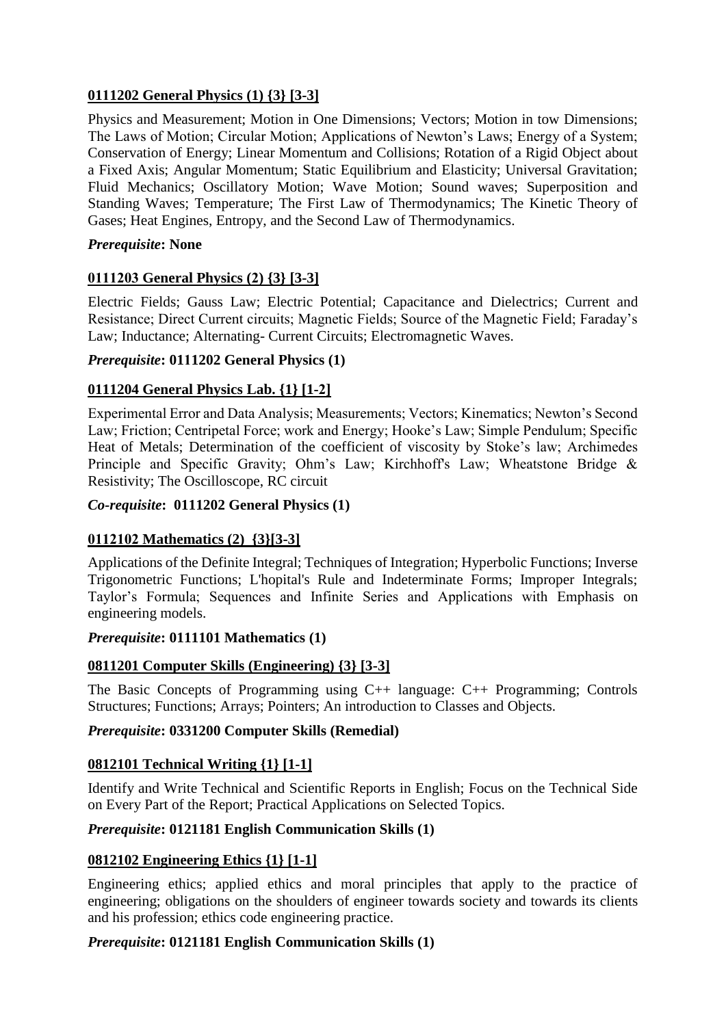## **0111202 General Physics (1) {3} [3-3]**

Physics and Measurement; Motion in One Dimensions; Vectors; Motion in tow Dimensions; The Laws of Motion; Circular Motion; Applications of Newton's Laws; Energy of a System; Conservation of Energy; Linear Momentum and Collisions; Rotation of a Rigid Object about a Fixed Axis; Angular Momentum; Static Equilibrium and Elasticity; Universal Gravitation; Fluid Mechanics; Oscillatory Motion; Wave Motion; Sound waves; Superposition and Standing Waves; Temperature; The First Law of Thermodynamics; The Kinetic Theory of Gases; Heat Engines, Entropy, and the Second Law of Thermodynamics.

## *Prerequisite***: None**

## **0111203 General Physics (2) {3} [3-3]**

Electric Fields; Gauss Law; Electric Potential; Capacitance and Dielectrics; Current and Resistance; Direct Current circuits; Magnetic Fields; Source of the Magnetic Field; Faraday's Law; Inductance; Alternating- Current Circuits; Electromagnetic Waves.

## *Prerequisite***: 0111202 General Physics (1)**

## **0111204 General Physics Lab. {1} [1-2]**

Experimental Error and Data Analysis; Measurements; Vectors; Kinematics; Newton's Second Law; Friction; Centripetal Force; work and Energy; Hooke's Law; Simple Pendulum; Specific Heat of Metals; Determination of the coefficient of viscosity by Stoke's law; Archimedes Principle and Specific Gravity; Ohm's Law; Kirchhoff's Law; Wheatstone Bridge & Resistivity; The Oscilloscope, RC circuit

## *Co-requisite***: 0111202 General Physics (1)**

## **0112102 Mathematics (2) {3}[3-3]**

Applications of the Definite Integral; Techniques of Integration; Hyperbolic Functions; Inverse Trigonometric Functions; L'hopital's Rule and Indeterminate Forms; Improper Integrals; Taylor's Formula; Sequences and Infinite Series and Applications with Emphasis on engineering models.

#### *Prerequisite***: 0111101 Mathematics (1)**

## **0811201 Computer Skills (Engineering) {3} [3-3]**

The Basic Concepts of Programming using C++ language: C++ Programming; Controls Structures; Functions; Arrays; Pointers; An introduction to Classes and Objects.

## *Prerequisite***: 0331200 Computer Skills (Remedial)**

## **0812101 Technical Writing {1} [1-1]**

Identify and Write Technical and Scientific Reports in English; Focus on the Technical Side on Every Part of the Report; Practical Applications on Selected Topics.

## *Prerequisite***: 0121181 English Communication Skills (1)**

## **0812102 Engineering Ethics {1} [1-1]**

Engineering ethics; applied ethics and moral principles that apply to the practice of engineering; obligations on the shoulders of engineer towards society and towards its clients and his profession; ethics code engineering practice.

#### *Prerequisite***: 0121181 English Communication Skills (1)**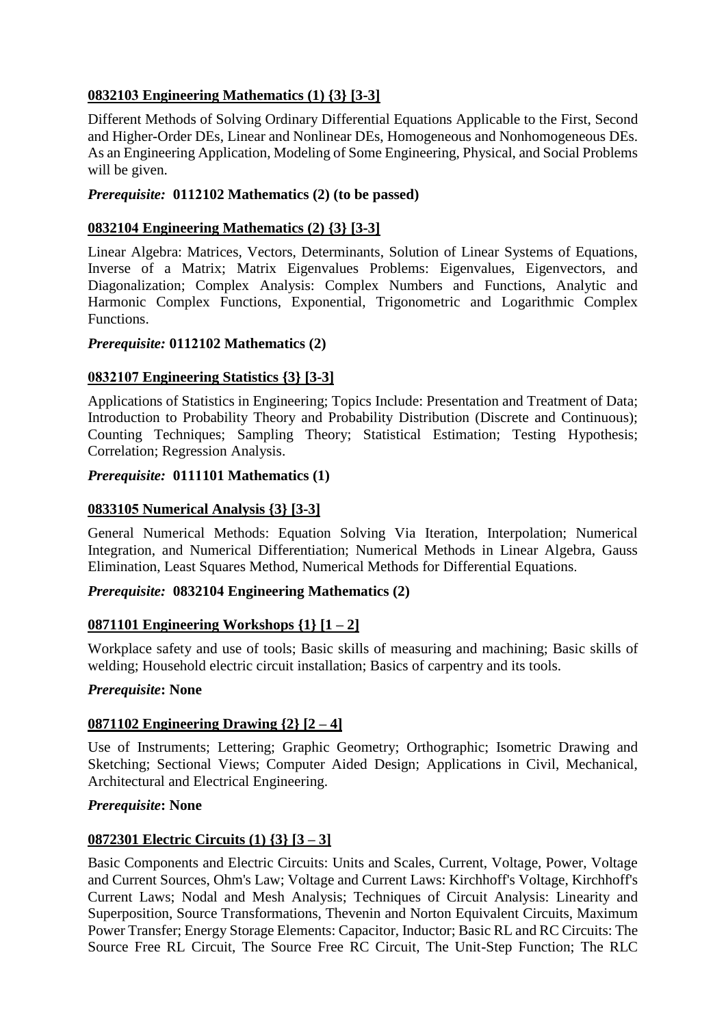## **0832103 Engineering Mathematics (1) {3} [3-3]**

Different Methods of Solving Ordinary Differential Equations Applicable to the First, Second and Higher-Order DEs, Linear and Nonlinear DEs, Homogeneous and Nonhomogeneous DEs. As an Engineering Application, Modeling of Some Engineering, Physical, and Social Problems will be given.

## *Prerequisite:* **0112102 Mathematics (2) (to be passed)**

### **0832104 Engineering Mathematics (2) {3} [3-3]**

Linear Algebra: Matrices, Vectors, Determinants, Solution of Linear Systems of Equations, Inverse of a Matrix; Matrix Eigenvalues Problems: Eigenvalues, Eigenvectors, and Diagonalization; Complex Analysis: Complex Numbers and Functions, Analytic and Harmonic Complex Functions, Exponential, Trigonometric and Logarithmic Complex Functions.

### *Prerequisite:* **0112102 Mathematics (2)**

## **0832107 Engineering Statistics {3} [3-3]**

Applications of Statistics in Engineering; Topics Include: Presentation and Treatment of Data; Introduction to Probability Theory and Probability Distribution (Discrete and Continuous); Counting Techniques; Sampling Theory; Statistical Estimation; Testing Hypothesis; Correlation; Regression Analysis.

### *Prerequisite:* **0111101 Mathematics (1)**

## **0833105 Numerical Analysis {3} [3-3]**

General Numerical Methods: Equation Solving Via Iteration, Interpolation; Numerical Integration, and Numerical Differentiation; Numerical Methods in Linear Algebra, Gauss Elimination, Least Squares Method, Numerical Methods for Differential Equations.

## *Prerequisite:* **0832104 Engineering Mathematics (2)**

## **0871101 Engineering Workshops {1} [1 – 2]**

Workplace safety and use of tools; Basic skills of measuring and machining; Basic skills of welding; Household electric circuit installation; Basics of carpentry and its tools.

#### *Prerequisite***: None**

## **0871102 Engineering Drawing {2} [2 – 4]**

Use of Instruments; Lettering; Graphic Geometry; Orthographic; Isometric Drawing and Sketching; Sectional Views; Computer Aided Design; Applications in Civil, Mechanical, Architectural and Electrical Engineering.

#### *Prerequisite***: None**

## **0872301 Electric Circuits (1) {3} [3 – 3]**

Basic Components and Electric Circuits: Units and Scales, Current, Voltage, Power, Voltage and Current Sources, Ohm's Law; Voltage and Current Laws: Kirchhoff's Voltage, Kirchhoff's Current Laws; Nodal and Mesh Analysis; Techniques of Circuit Analysis: Linearity and Superposition, Source Transformations, Thevenin and Norton Equivalent Circuits, Maximum Power Transfer; Energy Storage Elements: Capacitor, Inductor; Basic RL and RC Circuits: The Source Free RL Circuit, The Source Free RC Circuit, The Unit-Step Function; The RLC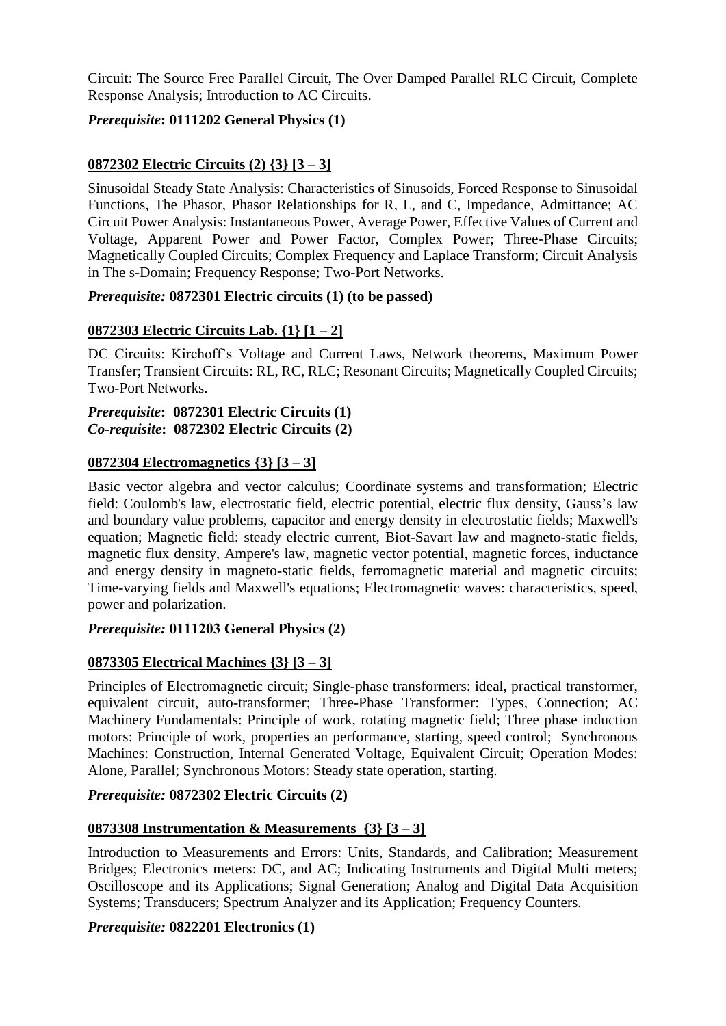Circuit: The Source Free Parallel Circuit, The Over Damped Parallel RLC Circuit, Complete Response Analysis; Introduction to AC Circuits.

## *Prerequisite***: 0111202 General Physics (1)**

## **0872302 Electric Circuits (2) {3} [3 – 3]**

Sinusoidal Steady State Analysis: Characteristics of Sinusoids, Forced Response to Sinusoidal Functions, The Phasor, Phasor Relationships for R, L, and C, Impedance, Admittance; AC Circuit Power Analysis: Instantaneous Power, Average Power, Effective Values of Current and Voltage, Apparent Power and Power Factor, Complex Power; Three-Phase Circuits; Magnetically Coupled Circuits; Complex Frequency and Laplace Transform; Circuit Analysis in The s-Domain; Frequency Response; Two-Port Networks.

## *Prerequisite:* **0872301 Electric circuits (1) (to be passed)**

## **0872303 Electric Circuits Lab. {1} [1 – 2]**

DC Circuits: Kirchoff's Voltage and Current Laws, Network theorems, Maximum Power Transfer; Transient Circuits: RL, RC, RLC; Resonant Circuits; Magnetically Coupled Circuits; Two-Port Networks.

#### *Prerequisite***: 0872301 Electric Circuits (1)** *Co-requisite***: 0872302 Electric Circuits (2)**

### **0872304 Electromagnetics {3} [3 – 3]**

Basic vector algebra and vector calculus; Coordinate systems and transformation; Electric field: Coulomb's law, electrostatic field, electric potential, electric flux density, Gauss's law and boundary value problems, capacitor and energy density in electrostatic fields; Maxwell's equation; Magnetic field: steady electric current, Biot-Savart law and magneto-static fields, magnetic flux density, Ampere's law, magnetic vector potential, magnetic forces, inductance and energy density in magneto-static fields, ferromagnetic material and magnetic circuits; Time-varying fields and Maxwell's equations; Electromagnetic waves: characteristics, speed, power and polarization.

#### *Prerequisite:* **0111203 General Physics (2)**

## **0873305 Electrical Machines {3} [3 – 3]**

Principles of Electromagnetic circuit; Single-phase transformers: ideal, practical transformer, equivalent circuit, auto-transformer; Three-Phase Transformer: Types, Connection; AC Machinery Fundamentals: Principle of work, rotating magnetic field; Three phase induction motors: Principle of work, properties an performance, starting, speed control; Synchronous Machines: Construction, Internal Generated Voltage, Equivalent Circuit; Operation Modes: Alone, Parallel; Synchronous Motors: Steady state operation, starting.

### *Prerequisite:* **0872302 Electric Circuits (2)**

## **0873308 Instrumentation & Measurements {3} [3 – 3]**

Introduction to Measurements and Errors: Units, Standards, and Calibration; Measurement Bridges; Electronics meters: DC, and AC; Indicating Instruments and Digital Multi meters; Oscilloscope and its Applications; Signal Generation; Analog and Digital Data Acquisition Systems: Transducers: Spectrum Analyzer and its Application: Frequency Counters.

#### *Prerequisite:* **0822201 Electronics (1)**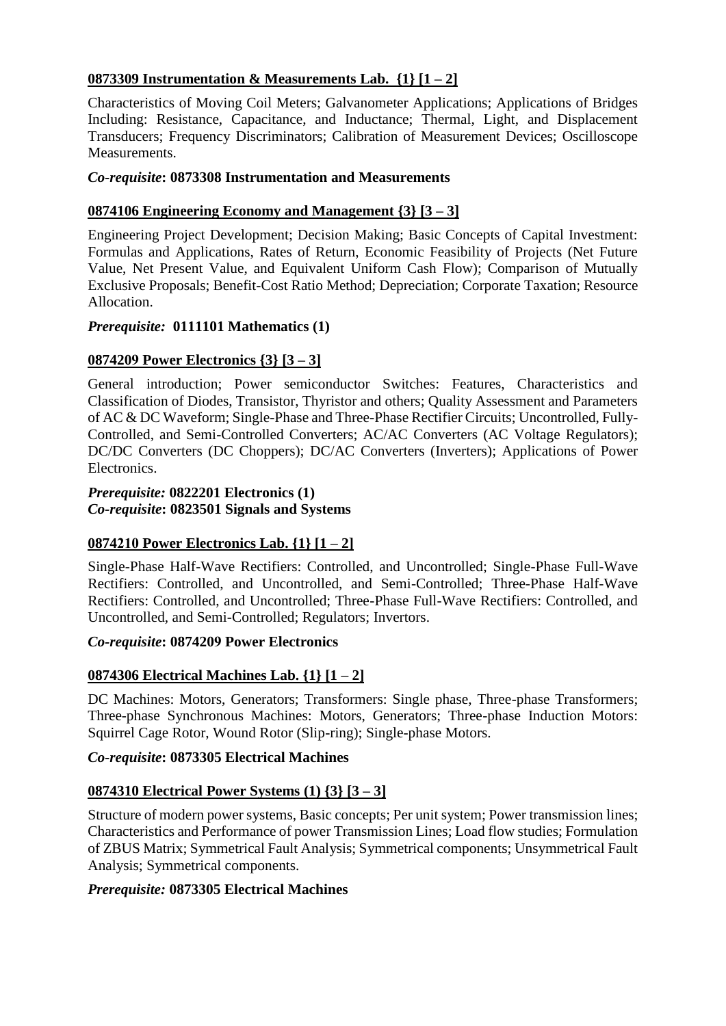## **0873309 Instrumentation & Measurements Lab. {1} [1 – 2]**

Characteristics of Moving Coil Meters; Galvanometer Applications; Applications of Bridges Including: Resistance, Capacitance, and Inductance; Thermal, Light, and Displacement Transducers; Frequency Discriminators; Calibration of Measurement Devices; Oscilloscope Measurements.

### *Co-requisite***: 0873308 Instrumentation and Measurements**

## **0874106 Engineering Economy and Management {3} [3 – 3]**

Engineering Project Development; Decision Making; Basic Concepts of Capital Investment: Formulas and Applications, Rates of Return, Economic Feasibility of Projects (Net Future Value, Net Present Value, and Equivalent Uniform Cash Flow); Comparison of Mutually Exclusive Proposals; Benefit-Cost Ratio Method; Depreciation; Corporate Taxation; Resource Allocation.

### *Prerequisite:* **0111101 Mathematics (1)**

## **0874209 Power Electronics {3} [3 – 3]**

General introduction; Power semiconductor Switches: Features, Characteristics and Classification of Diodes, Transistor, Thyristor and others; Quality Assessment and Parameters of AC & DC Waveform; Single-Phase and Three-Phase Rectifier Circuits; Uncontrolled, Fully-Controlled, and Semi-Controlled Converters; AC/AC Converters (AC Voltage Regulators); DC/DC Converters (DC Choppers); DC/AC Converters (Inverters); Applications of Power Electronics.

#### *Prerequisite:* **0822201 Electronics (1)** *Co-requisite***: 0823501 Signals and Systems**

## **0874210 Power Electronics Lab. {1} [1 – 2]**

Single-Phase Half-Wave Rectifiers: Controlled, and Uncontrolled; Single-Phase Full-Wave Rectifiers: Controlled, and Uncontrolled, and Semi-Controlled; Three-Phase Half-Wave Rectifiers: Controlled, and Uncontrolled; Three-Phase Full-Wave Rectifiers: Controlled, and Uncontrolled, and Semi-Controlled; Regulators; Invertors.

#### *Co-requisite***: 0874209 Power Electronics**

## **0874306 Electrical Machines Lab. {1} [1 – 2]**

DC Machines: Motors, Generators; Transformers: Single phase, Three-phase Transformers; Three-phase Synchronous Machines: Motors, Generators; Three-phase Induction Motors: Squirrel Cage Rotor, Wound Rotor (Slip-ring); Single-phase Motors.

#### *Co-requisite***: 0873305 Electrical Machines**

## **0874310 Electrical Power Systems (1) {3} [3 – 3]**

Structure of modern power systems, Basic concepts; Per unit system; Power transmission lines; Characteristics and Performance of power Transmission Lines; Load flow studies; Formulation of ZBUS Matrix; Symmetrical Fault Analysis; Symmetrical components; Unsymmetrical Fault Analysis; Symmetrical components.

#### *Prerequisite:* **0873305 Electrical Machines**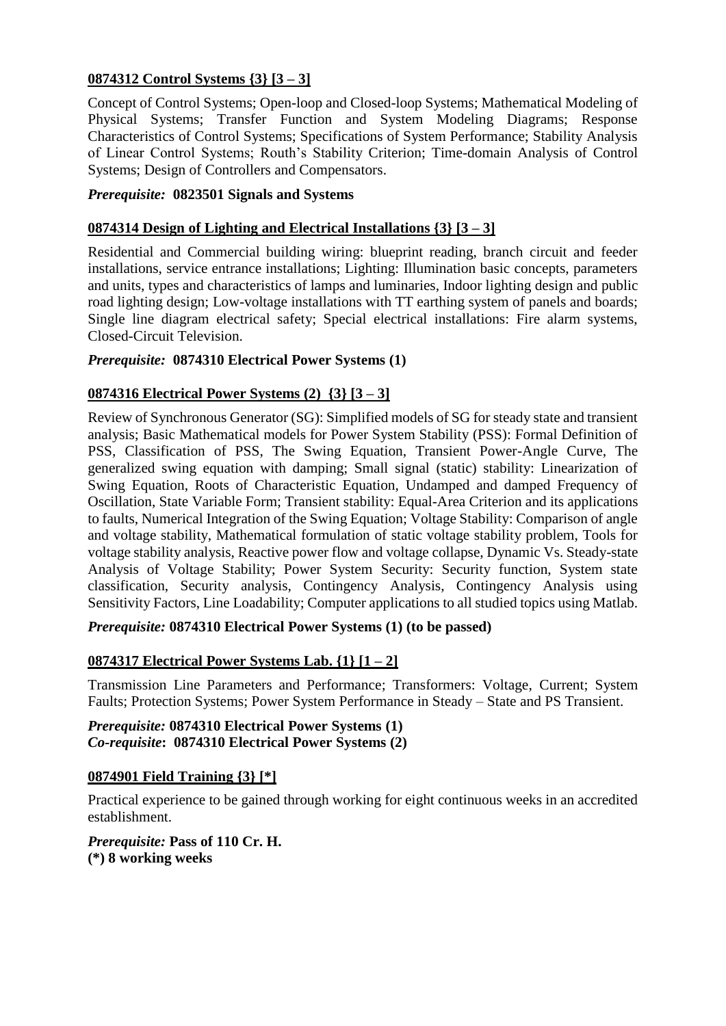## **0874312 Control Systems {3} [3 – 3]**

Concept of Control Systems; Open-loop and Closed-loop Systems; Mathematical Modeling of Physical Systems; Transfer Function and System Modeling Diagrams; Response Characteristics of Control Systems; Specifications of System Performance; Stability Analysis of Linear Control Systems; Routh's Stability Criterion; Time-domain Analysis of Control Systems; Design of Controllers and Compensators.

## *Prerequisite:* **0823501 Signals and Systems**

## **0874314 Design of Lighting and Electrical Installations {3} [3 – 3]**

Residential and Commercial building wiring: blueprint reading, branch circuit and feeder installations, service entrance installations; Lighting: Illumination basic concepts, parameters and units, types and characteristics of lamps and luminaries, Indoor lighting design and public road lighting design; Low-voltage installations with TT earthing system of panels and boards; Single line diagram electrical safety; Special electrical installations: Fire alarm systems, Closed-Circuit Television.

## *Prerequisite:* **0874310 Electrical Power Systems (1)**

## **0874316 Electrical Power Systems (2) {3} [3 – 3]**

Review of Synchronous Generator (SG): Simplified models of SG for steady state and transient analysis; Basic Mathematical models for Power System Stability (PSS): Formal Definition of PSS, Classification of PSS, The Swing Equation, Transient Power-Angle Curve, The generalized swing equation with damping; Small signal (static) stability: Linearization of Swing Equation, Roots of Characteristic Equation, Undamped and damped Frequency of Oscillation, State Variable Form; Transient stability: Equal-Area Criterion and its applications to faults, Numerical Integration of the Swing Equation; Voltage Stability: Comparison of angle and voltage stability, Mathematical formulation of static voltage stability problem, Tools for voltage stability analysis, Reactive power flow and voltage collapse, Dynamic Vs. Steady-state Analysis of Voltage Stability; Power System Security: Security function, System state classification, Security analysis, Contingency Analysis, Contingency Analysis using Sensitivity Factors, Line Loadability; Computer applications to all studied topics using Matlab.

#### *Prerequisite:* **0874310 Electrical Power Systems (1) (to be passed)**

## **0874317 Electrical Power Systems Lab. {1} [1 – 2]**

Transmission Line Parameters and Performance; Transformers: Voltage, Current; System Faults; Protection Systems; Power System Performance in Steady – State and PS Transient.

*Prerequisite:* **0874310 Electrical Power Systems (1)**  *Co-requisite***: 0874310 Electrical Power Systems (2)**

#### **0874901 Field Training {3} [\*]**

Practical experience to be gained through working for eight continuous weeks in an accredited establishment.

*Prerequisite:* **Pass of 110 Cr. H. (\*) 8 working weeks**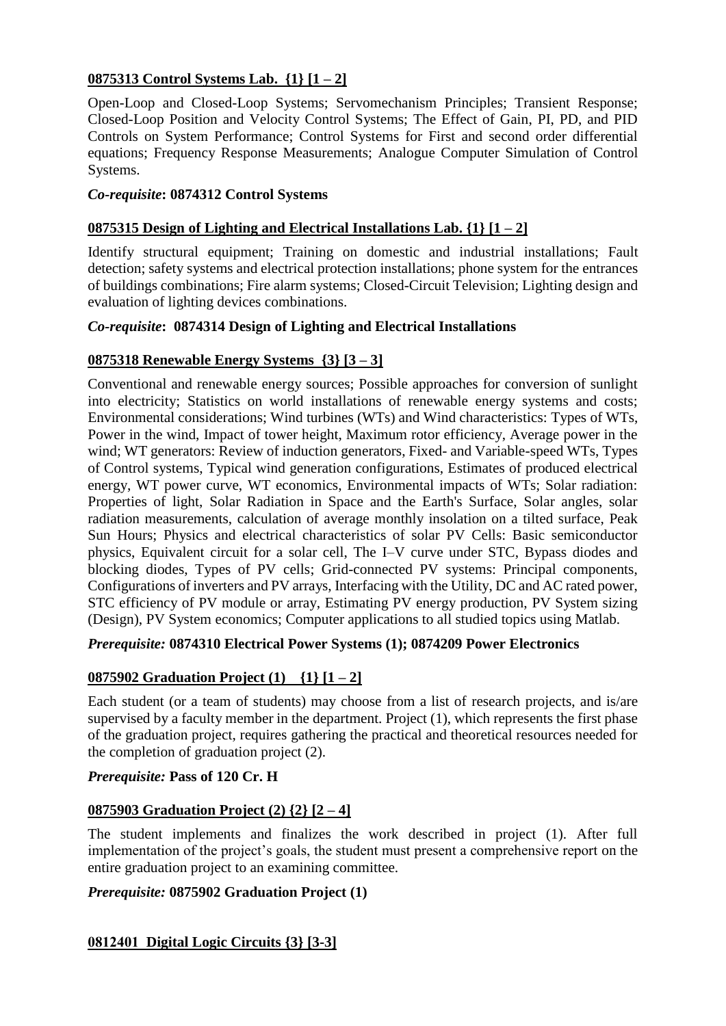## **0875313 Control Systems Lab. {1} [1 – 2]**

Open-Loop and Closed-Loop Systems; Servomechanism Principles; Transient Response; Closed-Loop Position and Velocity Control Systems; The Effect of Gain, PI, PD, and PID Controls on System Performance; Control Systems for First and second order differential equations; Frequency Response Measurements; Analogue Computer Simulation of Control Systems.

## *Co-requisite***: 0874312 Control Systems**

## **0875315 Design of Lighting and Electrical Installations Lab. {1} [1 – 2]**

Identify structural equipment; Training on domestic and industrial installations; Fault detection; safety systems and electrical protection installations; phone system for the entrances of buildings combinations; Fire alarm systems; Closed-Circuit Television; Lighting design and evaluation of lighting devices combinations.

### *Co-requisite***: 0874314 Design of Lighting and Electrical Installations**

## **0875318 Renewable Energy Systems {3} [3 – 3]**

Conventional and renewable energy sources; Possible approaches for conversion of sunlight into electricity; Statistics on world installations of renewable energy systems and costs; Environmental considerations; Wind turbines (WTs) and Wind characteristics: Types of WTs, Power in the wind, Impact of tower height, Maximum rotor efficiency, Average power in the wind; WT generators: Review of induction generators, Fixed- and Variable-speed WTs, Types of Control systems, Typical wind generation configurations, Estimates of produced electrical energy, WT power curve, WT economics, Environmental impacts of WTs; Solar radiation: Properties of light, Solar Radiation in Space and the Earth's Surface, Solar angles, solar radiation measurements, calculation of average monthly insolation on a tilted surface, Peak Sun Hours; Physics and electrical characteristics of solar PV Cells: Basic semiconductor physics, Equivalent circuit for a solar cell, The I–V curve under STC, Bypass diodes and blocking diodes, Types of PV cells; Grid-connected PV systems: Principal components, Configurations of inverters and PV arrays, Interfacing with the Utility, DC and AC rated power, STC efficiency of PV module or array, Estimating PV energy production, PV System sizing (Design), PV System economics; Computer applications to all studied topics using Matlab.

## *Prerequisite:* **0874310 Electrical Power Systems (1); 0874209 Power Electronics**

## **0875902 Graduation Project (1) {1} [1 – 2]**

Each student (or a team of students) may choose from a list of research projects, and is/are supervised by a faculty member in the department. Project (1), which represents the first phase of the graduation project, requires gathering the practical and theoretical resources needed for the completion of graduation project (2).

#### *Prerequisite:* **Pass of 120 Cr. H**

#### **0875903 Graduation Project (2) {2} [2 – 4]**

The student implements and finalizes the work described in project (1). After full implementation of the project's goals, the student must present a comprehensive report on the entire graduation project to an examining committee.

## *Prerequisite:* **0875902 Graduation Project (1)**

## **0812401 Digital Logic Circuits {3} [3-3]**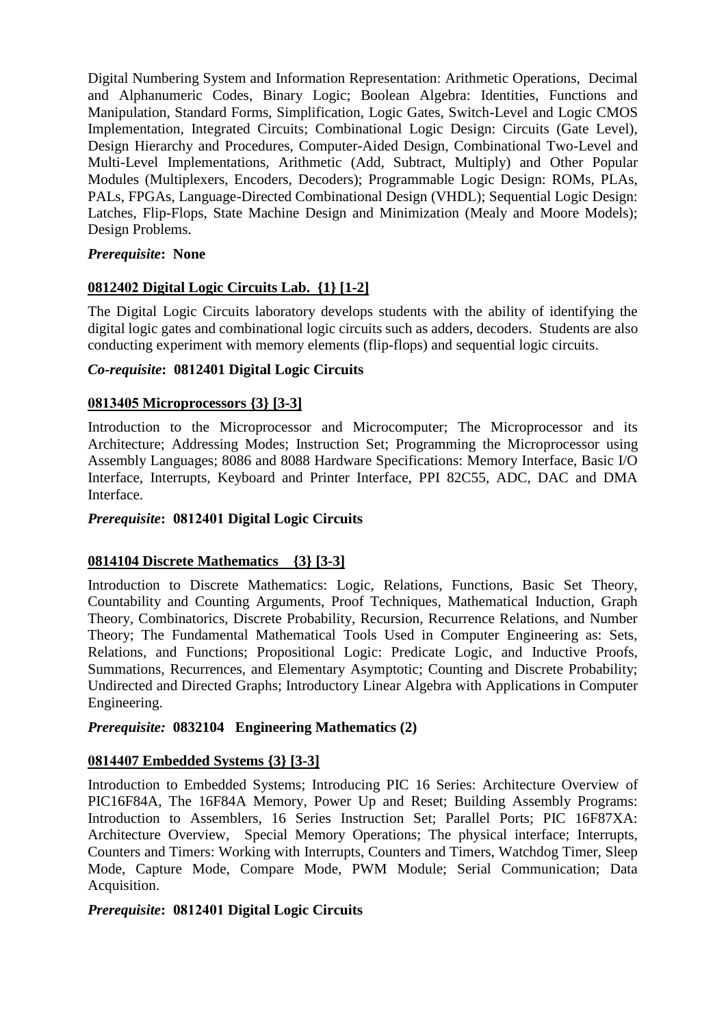Digital Numbering System and Information Representation: Arithmetic Operations, Decimal and Alphanumeric Codes, Binary Logic; Boolean Algebra: Identities, Functions and Manipulation, Standard Forms, Simplification, Logic Gates, Switch-Level and Logic CMOS Implementation, Integrated Circuits; Combinational Logic Design: Circuits (Gate Level), Design Hierarchy and Procedures, Computer-Aided Design, Combinational Two-Level and Multi-Level Implementations, Arithmetic (Add, Subtract, Multiply) and Other Popular Modules (Multiplexers, Encoders, Decoders); Programmable Logic Design: ROMs, PLAs, PALs, FPGAs, Language-Directed Combinational Design (VHDL); Sequential Logic Design: Latches, Flip-Flops, State Machine Design and Minimization (Mealy and Moore Models); Design Problems.

## *Prerequisite***: None**

## **0812402 Digital Logic Circuits Lab. {1} [1-2]**

The Digital Logic Circuits laboratory develops students with the ability of identifying the digital logic gates and combinational logic circuits such as adders, decoders. Students are also conducting experiment with memory elements (flip-flops) and sequential logic circuits.

### *Co-requisite***: 0812401 Digital Logic Circuits**

### **0813405 Microprocessors {3} [3-3]**

Introduction to the Microprocessor and Microcomputer; The Microprocessor and its Architecture; Addressing Modes; Instruction Set; Programming the Microprocessor using Assembly Languages; 8086 and 8088 Hardware Specifications: Memory Interface, Basic I/O Interface, Interrupts, Keyboard and Printer Interface, PPI 82C55, ADC, DAC and DMA Interface.

## *Prerequisite***: 0812401 Digital Logic Circuits**

## **0814104 Discrete Mathematics {3} [3-3]**

Introduction to Discrete Mathematics: Logic, Relations, Functions, Basic Set Theory, Countability and Counting Arguments, Proof Techniques, Mathematical Induction, Graph Theory, Combinatorics, Discrete Probability, Recursion, Recurrence Relations, and Number Theory; The Fundamental Mathematical Tools Used in Computer Engineering as: Sets, Relations, and Functions; Propositional Logic: Predicate Logic, and Inductive Proofs, Summations, Recurrences, and Elementary Asymptotic; Counting and Discrete Probability; Undirected and Directed Graphs; Introductory Linear Algebra with Applications in Computer Engineering.

### *Prerequisite:* **0832104 Engineering Mathematics (2)**

#### **0814407 Embedded Systems {3} [3-3]**

Introduction to Embedded Systems; Introducing PIC 16 Series: Architecture Overview of PIC16F84A, The 16F84A Memory, Power Up and Reset; Building Assembly Programs: Introduction to Assemblers, 16 Series Instruction Set; Parallel Ports; PIC 16F87XA: Architecture Overview, Special Memory Operations; The physical interface; Interrupts, Counters and Timers: Working with Interrupts, Counters and Timers, Watchdog Timer, Sleep Mode, Capture Mode, Compare Mode, PWM Module; Serial Communication; Data Acquisition.

#### *Prerequisite***: 0812401 Digital Logic Circuits**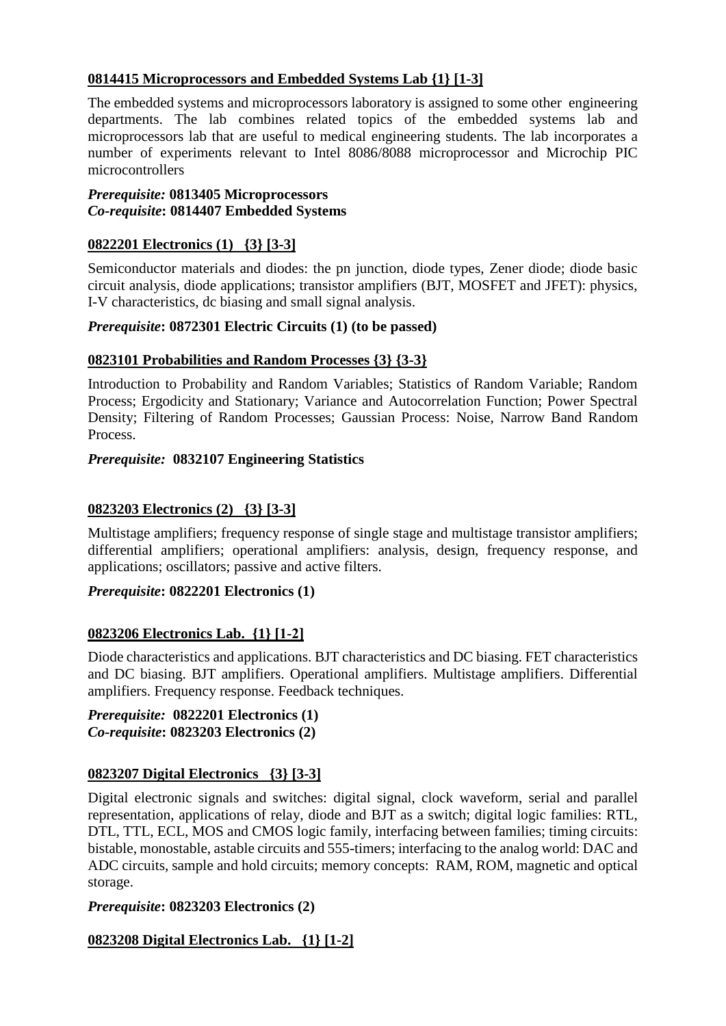## **0814415 Microprocessors and Embedded Systems Lab {1} [1-3]**

The embedded systems and microprocessors laboratory is assigned to some other engineering departments. The lab combines related topics of the embedded systems lab and microprocessors lab that are useful to medical engineering students. The lab incorporates a number of experiments relevant to Intel 8086/8088 microprocessor and Microchip PIC microcontrollers

#### *Prerequisite:* **0813405 Microprocessors**  *Co-requisite***: 0814407 Embedded Systems**

## **0822201 Electronics (1) {3} [3-3]**

Semiconductor materials and diodes: the pn junction, diode types, Zener diode; diode basic circuit analysis, diode applications; transistor amplifiers (BJT, MOSFET and JFET): physics, I-V characteristics, dc biasing and small signal analysis.

### *Prerequisite***: 0872301 Electric Circuits (1) (to be passed)**

### **0823101 Probabilities and Random Processes {3} {3-3}**

Introduction to Probability and Random Variables; Statistics of Random Variable; Random Process; Ergodicity and Stationary; Variance and Autocorrelation Function; Power Spectral Density; Filtering of Random Processes; Gaussian Process: Noise, Narrow Band Random Process.

### *Prerequisite:* **0832107 Engineering Statistics**

## **0823203 Electronics (2) {3} [3-3]**

Multistage amplifiers; frequency response of single stage and multistage transistor amplifiers; differential amplifiers; operational amplifiers: analysis, design, frequency response, and applications; oscillators; passive and active filters.

#### *Prerequisite***: 0822201 Electronics (1)**

## **0823206 Electronics Lab. {1} [1-2]**

Diode characteristics and applications. BJT characteristics and DC biasing. FET characteristics and DC biasing. BJT amplifiers. Operational amplifiers. Multistage amplifiers. Differential amplifiers. Frequency response. Feedback techniques.

#### *Prerequisite:* **0822201 Electronics (1)** *Co-requisite***: 0823203 Electronics (2)**

## **0823207 Digital Electronics {3} [3-3]**

Digital electronic signals and switches: digital signal, clock waveform, serial and parallel representation, applications of relay, diode and BJT as a switch; digital logic families: RTL, DTL, TTL, ECL, MOS and CMOS logic family, interfacing between families; timing circuits: bistable, monostable, astable circuits and 555-timers; interfacing to the analog world: DAC and ADC circuits, sample and hold circuits; memory concepts: RAM, ROM, magnetic and optical storage.

## *Prerequisite***: 0823203 Electronics (2)**

## **0823208 Digital Electronics Lab. {1} [1-2]**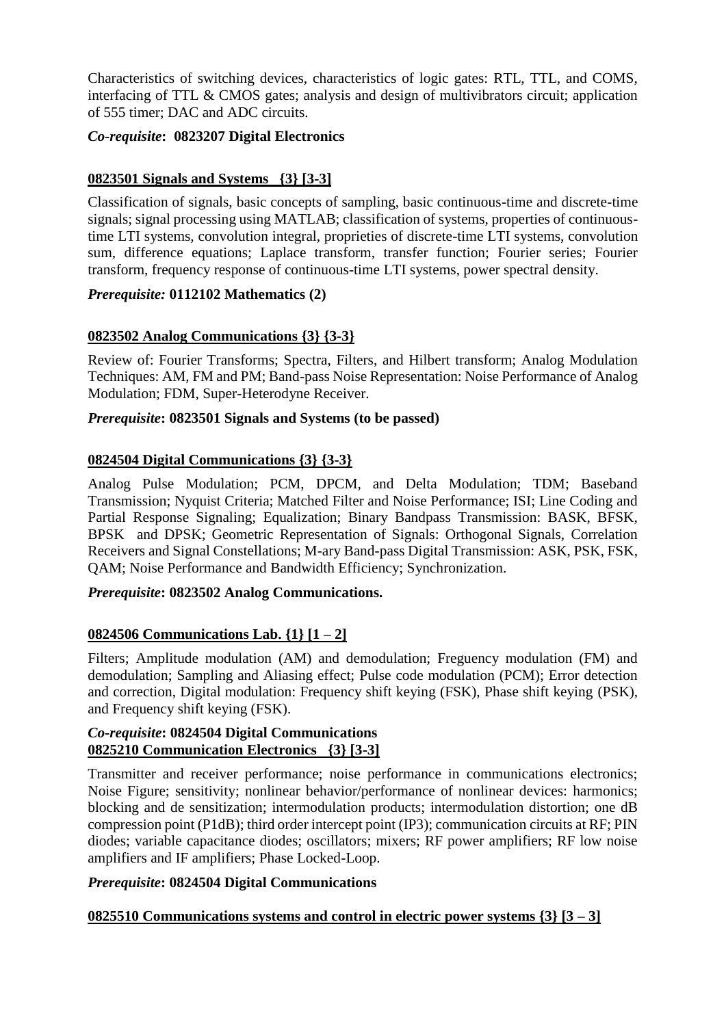Characteristics of switching devices, characteristics of logic gates: RTL, TTL, and COMS, interfacing of TTL & CMOS gates; analysis and design of multivibrators circuit; application of 555 timer; DAC and ADC circuits.

## *Co-requisite***: 0823207 Digital Electronics**

## **0823501 Signals and Systems {3} [3-3]**

Classification of signals, basic concepts of sampling, basic continuous-time and discrete-time signals; signal processing using MATLAB; classification of systems, properties of continuoustime LTI systems, convolution integral, proprieties of discrete-time LTI systems, convolution sum, difference equations; Laplace transform, transfer function; Fourier series; Fourier transform, frequency response of continuous-time LTI systems, power spectral density.

### *Prerequisite:* **0112102 Mathematics (2)**

## **0823502 Analog Communications {3} {3-3}**

Review of: Fourier Transforms; Spectra, Filters, and Hilbert transform; Analog Modulation Techniques: AM, FM and PM; Band-pass Noise Representation: Noise Performance of Analog Modulation; FDM, Super-Heterodyne Receiver.

### *Prerequisite***: 0823501 Signals and Systems (to be passed)**

### **0824504 Digital Communications {3} {3-3}**

Analog Pulse Modulation; PCM, DPCM, and Delta Modulation; TDM; Baseband Transmission; Nyquist Criteria; Matched Filter and Noise Performance; ISI; Line Coding and Partial Response Signaling; Equalization; Binary Bandpass Transmission: BASK, BFSK, BPSK and DPSK; Geometric Representation of Signals: Orthogonal Signals, Correlation Receivers and Signal Constellations; M-ary Band-pass Digital Transmission: ASK, PSK, FSK, QAM; Noise Performance and Bandwidth Efficiency; Synchronization.

#### *Prerequisite***: 0823502 Analog Communications.**

## **0824506 Communications Lab. {1} [1 – 2]**

Filters; Amplitude modulation (AM) and demodulation; Freguency modulation (FM) and demodulation; Sampling and Aliasing effect; Pulse code modulation (PCM); Error detection and correction, Digital modulation: Frequency shift keying (FSK), Phase shift keying (PSK), and Frequency shift keying (FSK).

#### *Co-requisite***: 0824504 Digital Communications 0825210 Communication Electronics {3} [3-3]**

Transmitter and receiver performance; noise performance in communications electronics; Noise Figure; sensitivity; nonlinear behavior/performance of nonlinear devices: harmonics; blocking and de sensitization; intermodulation products; intermodulation distortion; one dB compression point (P1dB); third order intercept point (IP3); communication circuits at RF; PIN diodes; variable capacitance diodes; oscillators; mixers; RF power amplifiers; RF low noise amplifiers and IF amplifiers; Phase Locked-Loop.

## *Prerequisite***: 0824504 Digital Communications**

#### **0825510 Communications systems and control in electric power systems {3} [3 – 3]**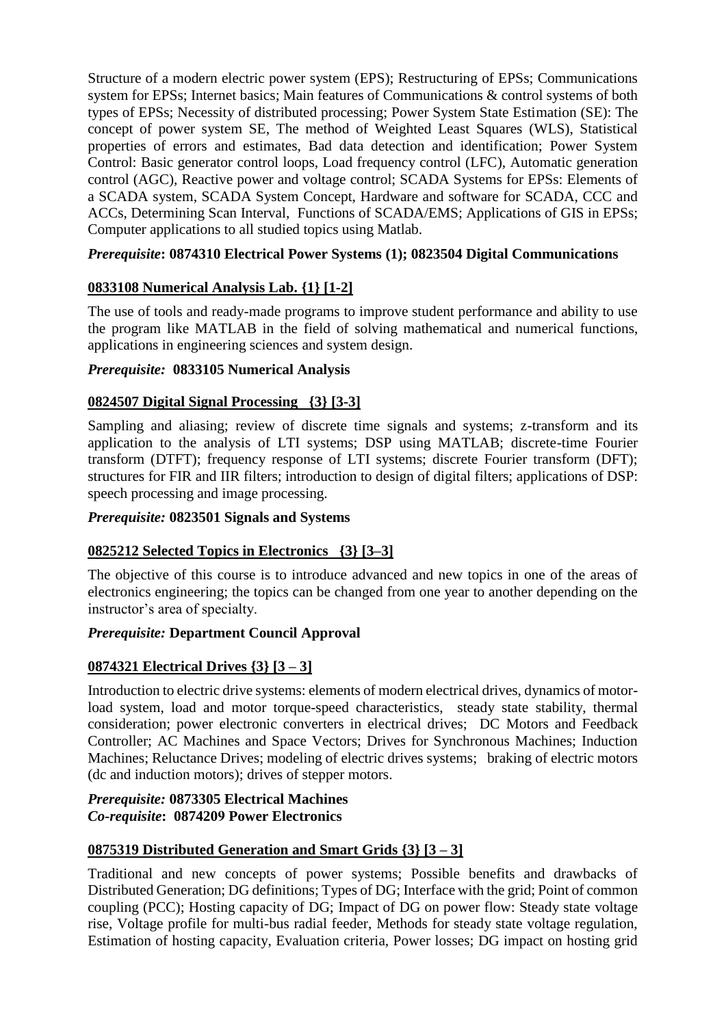Structure of a modern electric power system (EPS); Restructuring of EPSs; Communications system for EPSs; Internet basics; Main features of Communications & control systems of both types of EPSs; Necessity of distributed processing; Power System State Estimation (SE): The concept of power system SE, The method of Weighted Least Squares (WLS), Statistical properties of errors and estimates, Bad data detection and identification; Power System Control: Basic generator control loops, Load frequency control (LFC), Automatic generation control (AGC), Reactive power and voltage control; SCADA Systems for EPSs: Elements of a SCADA system, SCADA System Concept, Hardware and software for SCADA, CCC and ACCs, Determining Scan Interval, Functions of SCADA/EMS; Applications of GIS in EPSs; Computer applications to all studied topics using Matlab.

## *Prerequisite***: 0874310 Electrical Power Systems (1); 0823504 Digital Communications**

## **0833108 Numerical Analysis Lab. {1} [1-2]**

The use of tools and ready-made programs to improve student performance and ability to use the program like MATLAB in the field of solving mathematical and numerical functions, applications in engineering sciences and system design.

## *Prerequisite:* **0833105 Numerical Analysis**

## **0824507 Digital Signal Processing {3} [3-3]**

Sampling and aliasing; review of discrete time signals and systems; z-transform and its application to the analysis of LTI systems; DSP using MATLAB; discrete-time Fourier transform (DTFT); frequency response of LTI systems; discrete Fourier transform (DFT); structures for FIR and IIR filters; introduction to design of digital filters; applications of DSP: speech processing and image processing.

## *Prerequisite:* **0823501 Signals and Systems**

## **0825212 Selected Topics in Electronics {3} [3–3]**

The objective of this course is to introduce advanced and new topics in one of the areas of electronics engineering; the topics can be changed from one year to another depending on the instructor's area of specialty.

## *Prerequisite:* **Department Council Approval**

## **0874321 Electrical Drives {3} [3 – 3]**

Introduction to electric drive systems: elements of modern electrical drives, dynamics of motorload system, load and motor torque-speed characteristics, steady state stability, thermal consideration; power electronic converters in electrical drives; DC Motors and Feedback Controller; AC Machines and Space Vectors; Drives for Synchronous Machines; Induction Machines; Reluctance Drives; modeling of electric drives systems; braking of electric motors (dc and induction motors); drives of stepper motors.

### *Prerequisite:* **0873305 Electrical Machines** *Co-requisite***: 0874209 Power Electronics**

## **0875319 Distributed Generation and Smart Grids {3} [3 – 3]**

Traditional and new concepts of power systems; Possible benefits and drawbacks of Distributed Generation; DG definitions; Types of DG; Interface with the grid; Point of common coupling (PCC); Hosting capacity of DG; Impact of DG on power flow: Steady state voltage rise, Voltage profile for multi-bus radial feeder, Methods for steady state voltage regulation, Estimation of hosting capacity, Evaluation criteria, Power losses; DG impact on hosting grid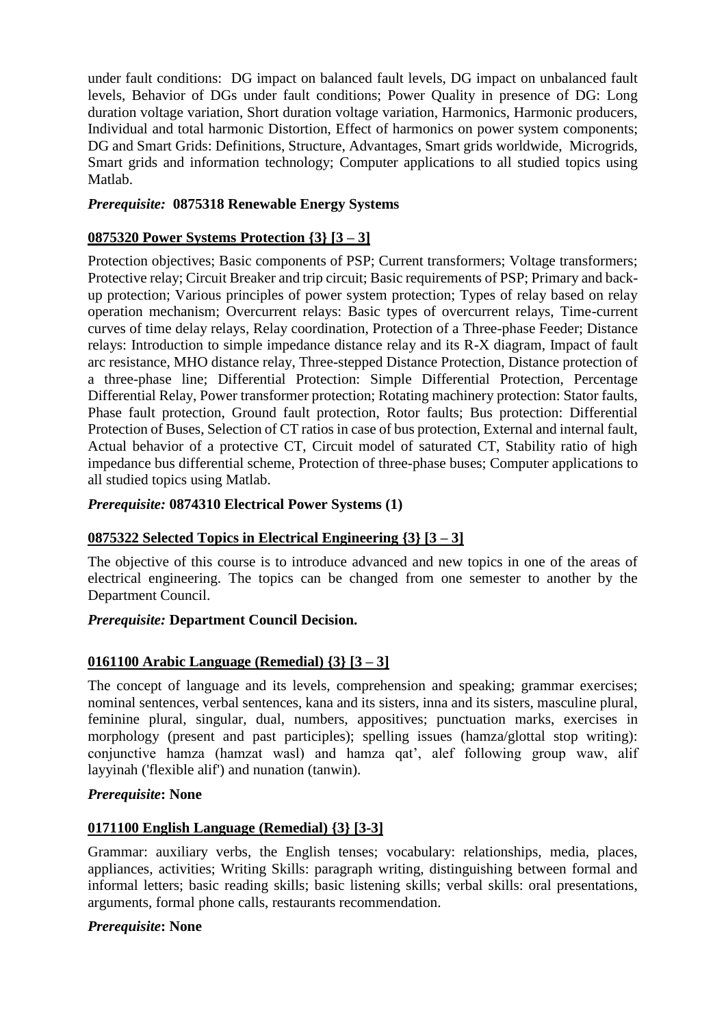under fault conditions: DG impact on balanced fault levels, DG impact on unbalanced fault levels, Behavior of DGs under fault conditions; Power Quality in presence of DG: Long duration voltage variation, Short duration voltage variation, Harmonics, Harmonic producers, Individual and total harmonic Distortion, Effect of harmonics on power system components; DG and Smart Grids: Definitions, Structure, Advantages, Smart grids worldwide, Microgrids, Smart grids and information technology; Computer applications to all studied topics using Matlab.

## *Prerequisite:* **0875318 Renewable Energy Systems**

### **0875320 Power Systems Protection {3} [3 – 3]**

Protection objectives; Basic components of PSP; Current transformers; Voltage transformers; Protective relay; Circuit Breaker and trip circuit; Basic requirements of PSP; Primary and backup protection; Various principles of power system protection; Types of relay based on relay operation mechanism; Overcurrent relays: Basic types of overcurrent relays, Time-current curves of time delay relays, Relay coordination, Protection of a Three-phase Feeder; Distance relays: Introduction to simple impedance distance relay and its R-X diagram, Impact of fault arc resistance, MHO distance relay, Three-stepped Distance Protection, Distance protection of a three-phase line; Differential Protection: Simple Differential Protection, Percentage Differential Relay, Power transformer protection; Rotating machinery protection: Stator faults, Phase fault protection, Ground fault protection, Rotor faults; Bus protection: Differential Protection of Buses, Selection of CT ratios in case of bus protection, External and internal fault, Actual behavior of a protective CT, Circuit model of saturated CT, Stability ratio of high impedance bus differential scheme, Protection of three-phase buses; Computer applications to all studied topics using Matlab.

#### *Prerequisite:* **0874310 Electrical Power Systems (1)**

## **0875322 Selected Topics in Electrical Engineering {3} [3 – 3]**

The objective of this course is to introduce advanced and new topics in one of the areas of electrical engineering. The topics can be changed from one semester to another by the Department Council.

#### *Prerequisite:* **Department Council Decision.**

## **0161100 Arabic Language (Remedial) {3} [3 – 3]**

The concept of language and its levels, comprehension and speaking; grammar exercises; nominal sentences, verbal sentences, kana and its sisters, inna and its sisters, masculine plural, feminine plural, singular, dual, numbers, appositives; punctuation marks, exercises in morphology (present and past participles); spelling issues (hamza/glottal stop writing): conjunctive hamza (hamzat wasl) and hamza qat', alef following group waw, alif layyinah ('flexible alif') and nunation (tanwin).

#### *Prerequisite***: None**

## **0171100 English Language (Remedial) {3} [3-3]**

Grammar: auxiliary verbs, the English tenses; vocabulary: relationships, media, places, appliances, activities; Writing Skills: paragraph writing, distinguishing between formal and informal letters; basic reading skills; basic listening skills; verbal skills: oral presentations, arguments, formal phone calls, restaurants recommendation.

#### *Prerequisite***: None**